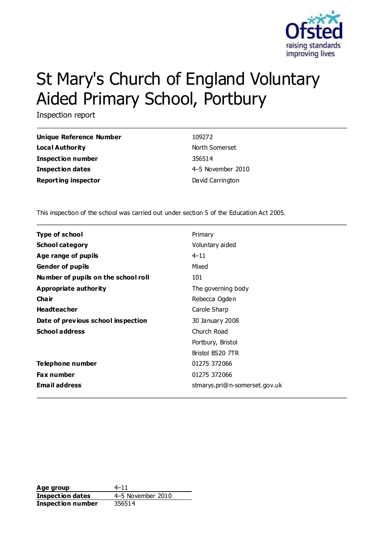

# St Mary's Church of England Voluntary Aided Primary School, Portbury

Inspection report

| Unique Reference Number    | 109272            |
|----------------------------|-------------------|
| Local Authority            | North Somerset    |
| <b>Inspection number</b>   | 356514            |
| <b>Inspection dates</b>    | 4-5 November 2010 |
| <b>Reporting inspector</b> | David Carrington  |

This inspection of the school was carried out under section 5 of the Education Act 2005.

| Type of school                      | Primary                       |
|-------------------------------------|-------------------------------|
| <b>School category</b>              | Voluntary aided               |
| Age range of pupils                 | $4 - 11$                      |
| <b>Gender of pupils</b>             | Mixed                         |
| Number of pupils on the school roll | 101                           |
| Appropriate authority               | The governing body            |
| Cha ir                              | Rebecca Ogden                 |
| <b>Headteacher</b>                  | Carole Sharp                  |
| Date of previous school inspection  | 30 January 2008               |
| <b>School address</b>               | Church Road                   |
|                                     | Portbury, Bristol             |
|                                     | Bristol BS20 7TR              |
| Telephone number                    | 01275 372066                  |
| <b>Fax number</b>                   | 01275 372066                  |
| <b>Email address</b>                | stmarys.pri@n-somerset.gov.uk |

Age group  $4-11$ **Inspection dates** 4–5 November 2010 **Inspection number** 356514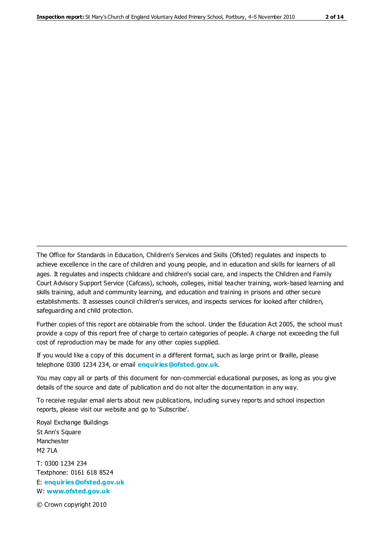The Office for Standards in Education, Children's Services and Skills (Ofsted) regulates and inspects to achieve excellence in the care of children and young people, and in education and skills for learners of all ages. It regulates and inspects childcare and children's social care, and inspects the Children and Family Court Advisory Support Service (Cafcass), schools, colleges, initial teacher training, work-based learning and skills training, adult and community learning, and education and training in prisons and other secure establishments. It assesses council children's services, and inspects services for looked after children, safeguarding and child protection.

Further copies of this report are obtainable from the school. Under the Education Act 2005, the school must provide a copy of this report free of charge to certain categories of people. A charge not exceeding the full cost of reproduction may be made for any other copies supplied.

If you would like a copy of this document in a different format, such as large print or Braille, please telephone 0300 1234 234, or email **[enquiries@ofsted.gov.uk](mailto:enquiries@ofsted.gov.uk)**.

You may copy all or parts of this document for non-commercial educational purposes, as long as you give details of the source and date of publication and do not alter the documentation in any way.

To receive regular email alerts about new publications, including survey reports and school inspection reports, please visit our website and go to 'Subscribe'.

Royal Exchange Buildings St Ann's Square Manchester M2 7LA T: 0300 1234 234 Textphone: 0161 618 8524 E: **[enquiries@ofsted.gov.uk](mailto:enquiries@ofsted.gov.uk)**

W: **[www.ofsted.gov.uk](http://www.ofsted.gov.uk/)**

© Crown copyright 2010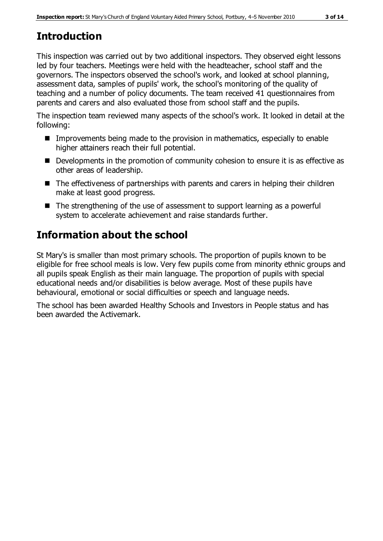# **Introduction**

This inspection was carried out by two additional inspectors. They observed eight lessons led by four teachers. Meetings were held with the headteacher, school staff and the governors. The inspectors observed the school's work, and looked at school planning, assessment data, samples of pupils' work, the school's monitoring of the quality of teaching and a number of policy documents. The team received 41 questionnaires from parents and carers and also evaluated those from school staff and the pupils.

The inspection team reviewed many aspects of the school's work. It looked in detail at the following:

- Improvements being made to the provision in mathematics, especially to enable higher attainers reach their full potential.
- Developments in the promotion of community cohesion to ensure it is as effective as other areas of leadership.
- The effectiveness of partnerships with parents and carers in helping their children make at least good progress.
- The strengthening of the use of assessment to support learning as a powerful system to accelerate achievement and raise standards further.

# **Information about the school**

St Mary's is smaller than most primary schools. The proportion of pupils known to be eligible for free school meals is low. Very few pupils come from minority ethnic groups and all pupils speak English as their main language. The proportion of pupils with special educational needs and/or disabilities is below average. Most of these pupils have behavioural, emotional or social difficulties or speech and language needs.

The school has been awarded Healthy Schools and Investors in People status and has been awarded the Activemark.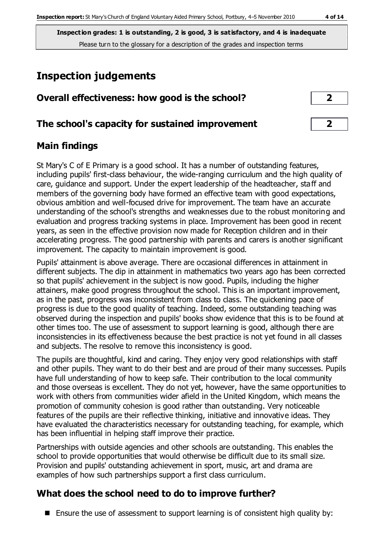# **Inspection judgements**

| Overall effectiveness: how good is the school? |  |
|------------------------------------------------|--|
|                                                |  |

#### **The school's capacity for sustained improvement 2**

### **Main findings**

St Mary's C of E Primary is a good school. It has a number of outstanding features, including pupils' first-class behaviour, the wide-ranging curriculum and the high quality of care, guidance and support. Under the expert leadership of the headteacher, staff and members of the governing body have formed an effective team with good expectations, obvious ambition and well-focused drive for improvement. The team have an accurate understanding of the school's strengths and weaknesses due to the robust monitoring and evaluation and progress tracking systems in place. Improvement has been good in recent years, as seen in the effective provision now made for Reception children and in their accelerating progress. The good partnership with parents and carers is another significant improvement. The capacity to maintain improvement is good.

Pupils' attainment is above average. There are occasional differences in attainment in different subjects. The dip in attainment in mathematics two years ago has been corrected so that pupils' achievement in the subject is now good. Pupils, including the higher attainers, make good progress throughout the school. This is an important improvement, as in the past, progress was inconsistent from class to class. The quickening pace of progress is due to the good quality of teaching. Indeed, some outstanding teaching was observed during the inspection and pupils' books show evidence that this is to be found at other times too. The use of assessment to support learning is good, although there are inconsistencies in its effectiveness because the best practice is not yet found in all classes and subjects. The resolve to remove this inconsistency is good.

The pupils are thoughtful, kind and caring. They enjoy very good relationships with staff and other pupils. They want to do their best and are proud of their many successes. Pupils have full understanding of how to keep safe. Their contribution to the local community and those overseas is excellent. They do not yet, however, have the same opportunities to work with others from communities wider afield in the United Kingdom, which means the promotion of community cohesion is good rather than outstanding. Very noticeable features of the pupils are their reflective thinking, initiative and innovative ideas. They have evaluated the characteristics necessary for outstanding teaching, for example, which has been influential in helping staff improve their practice.

Partnerships with outside agencies and other schools are outstanding. This enables the school to provide opportunities that would otherwise be difficult due to its small size. Provision and pupils' outstanding achievement in sport, music, art and drama are examples of how such partnerships support a first class curriculum.

## **What does the school need to do to improve further?**

**E** Ensure the use of assessment to support learning is of consistent high quality by: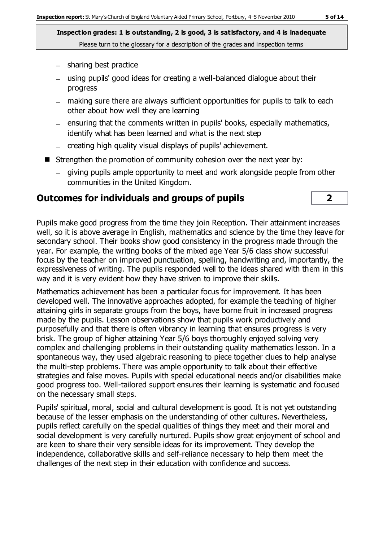- $-$  sharing best practice
- using pupils' good ideas for creating a well-balanced dialogue about their progress
- making sure there are always sufficient opportunities for pupils to talk to each other about how well they are learning
- $=$  ensuring that the comments written in pupils' books, especially mathematics, identify what has been learned and what is the next step
- creating high quality visual displays of pupils' achievement.
- Strengthen the promotion of community cohesion over the next year by:
	- giving pupils ample opportunity to meet and work alongside people from other communities in the United Kingdom.

#### **Outcomes for individuals and groups of pupils 2**

Pupils make good progress from the time they join Reception. Their attainment increases well, so it is above average in English, mathematics and science by the time they leave for secondary school. Their books show good consistency in the progress made through the year. For example, the writing books of the mixed age Year 5/6 class show successful focus by the teacher on improved punctuation, spelling, handwriting and, importantly, the expressiveness of writing. The pupils responded well to the ideas shared with them in this way and it is very evident how they have striven to improve their skills.

Mathematics achievement has been a particular focus for improvement. It has been developed well. The innovative approaches adopted, for example the teaching of higher attaining girls in separate groups from the boys, have borne fruit in increased progress made by the pupils. Lesson observations show that pupils work productively and purposefully and that there is often vibrancy in learning that ensures progress is very brisk. The group of higher attaining Year 5/6 boys thoroughly enjoyed solving very complex and challenging problems in their outstanding quality mathematics lesson. In a spontaneous way, they used algebraic reasoning to piece together clues to help analyse the multi-step problems. There was ample opportunity to talk about their effective strategies and false moves. Pupils with special educational needs and/or disabilities make good progress too. Well-tailored support ensures their learning is systematic and focused on the necessary small steps.

Pupils' spiritual, moral, social and cultural development is good. It is not yet outstanding because of the lesser emphasis on the understanding of other cultures. Nevertheless, pupils reflect carefully on the special qualities of things they meet and their moral and social development is very carefully nurtured. Pupils show great enjoyment of school and are keen to share their very sensible ideas for its improvement. They develop the independence, collaborative skills and self-reliance necessary to help them meet the challenges of the next step in their education with confidence and success.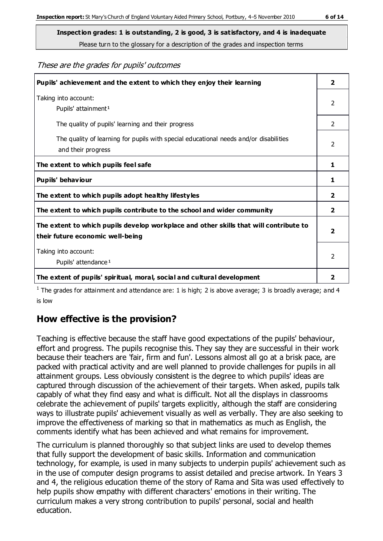These are the grades for pupils' outcomes

| Pupils' achievement and the extent to which they enjoy their learning                                                     | $\overline{\mathbf{2}}$ |
|---------------------------------------------------------------------------------------------------------------------------|-------------------------|
| Taking into account:<br>Pupils' attainment <sup>1</sup>                                                                   | 2                       |
| The quality of pupils' learning and their progress                                                                        | 2                       |
| The quality of learning for pupils with special educational needs and/or disabilities<br>and their progress               | $\mathfrak{p}$          |
| The extent to which pupils feel safe                                                                                      | 1                       |
| Pupils' behaviour                                                                                                         | 1                       |
| The extent to which pupils adopt healthy lifestyles                                                                       | $\overline{2}$          |
| The extent to which pupils contribute to the school and wider community                                                   | 2                       |
| The extent to which pupils develop workplace and other skills that will contribute to<br>their future economic well-being | $\overline{\mathbf{2}}$ |
| Taking into account:<br>Pupils' attendance <sup>1</sup>                                                                   | $\mathfrak{p}$          |
| The extent of pupils' spiritual, moral, social and cultural development                                                   | 2                       |

<sup>1</sup> The grades for attainment and attendance are: 1 is high; 2 is above average; 3 is broadly average; and 4 is low

## **How effective is the provision?**

Teaching is effective because the staff have good expectations of the pupils' behaviour, effort and progress. The pupils recognise this. They say they are successful in their work because their teachers are 'fair, firm and fun'. Lessons almost all go at a brisk pace, are packed with practical activity and are well planned to provide challenges for pupils in all attainment groups. Less obviously consistent is the degree to which pupils' ideas are captured through discussion of the achievement of their targets. When asked, pupils talk capably of what they find easy and what is difficult. Not all the displays in classrooms celebrate the achievement of pupils' targets explicitly, although the staff are considering ways to illustrate pupils' achievement visually as well as verbally. They are also seeking to improve the effectiveness of marking so that in mathematics as much as English, the comments identify what has been achieved and what remains for improvement.

The curriculum is planned thoroughly so that subject links are used to develop themes that fully support the development of basic skills. Information and communication technology, for example, is used in many subjects to underpin pupils' achievement such as in the use of computer design programs to assist detailed and precise artwork. In Years 3 and 4, the religious education theme of the story of Rama and Sita was used effectively to help pupils show empathy with different characters' emotions in their writing. The curriculum makes a very strong contribution to pupils' personal, social and health education.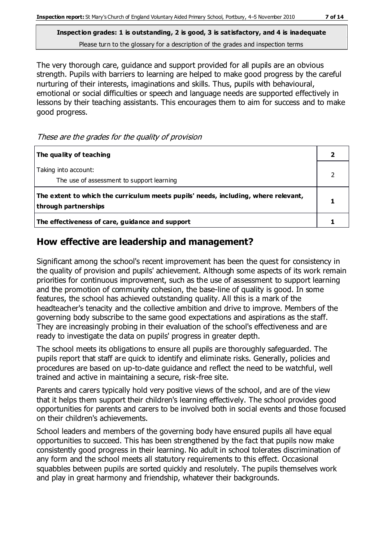The very thorough care, guidance and support provided for all pupils are an obvious strength. Pupils with barriers to learning are helped to make good progress by the careful nurturing of their interests, imaginations and skills. Thus, pupils with behavioural, emotional or social difficulties or speech and language needs are supported effectively in lessons by their teaching assistants. This encourages them to aim for success and to make good progress.

These are the grades for the quality of provision

| The quality of teaching                                                                                    |  |
|------------------------------------------------------------------------------------------------------------|--|
| Taking into account:<br>The use of assessment to support learning                                          |  |
| The extent to which the curriculum meets pupils' needs, including, where relevant,<br>through partnerships |  |
| The effectiveness of care, guidance and support                                                            |  |

### **How effective are leadership and management?**

Significant among the school's recent improvement has been the quest for consistency in the quality of provision and pupils' achievement. Although some aspects of its work remain priorities for continuous improvement, such as the use of assessment to support learning and the promotion of community cohesion, the base-line of quality is good. In some features, the school has achieved outstanding quality. All this is a mark of the headteacher's tenacity and the collective ambition and drive to improve. Members of the governing body subscribe to the same good expectations and aspirations as the staff. They are increasingly probing in their evaluation of the school's effectiveness and are ready to investigate the data on pupils' progress in greater depth.

The school meets its obligations to ensure all pupils are thoroughly safeguarded. The pupils report that staff are quick to identify and eliminate risks. Generally, policies and procedures are based on up-to-date guidance and reflect the need to be watchful, well trained and active in maintaining a secure, risk-free site.

Parents and carers typically hold very positive views of the school, and are of the view that it helps them support their children's learning effectively. The school provides good opportunities for parents and carers to be involved both in social events and those focused on their children's achievements.

School leaders and members of the governing body have ensured pupils all have equal opportunities to succeed. This has been strengthened by the fact that pupils now make consistently good progress in their learning. No adult in school tolerates discrimination of any form and the school meets all statutory requirements to this effect. Occasional squabbles between pupils are sorted quickly and resolutely. The pupils themselves work and play in great harmony and friendship, whatever their backgrounds.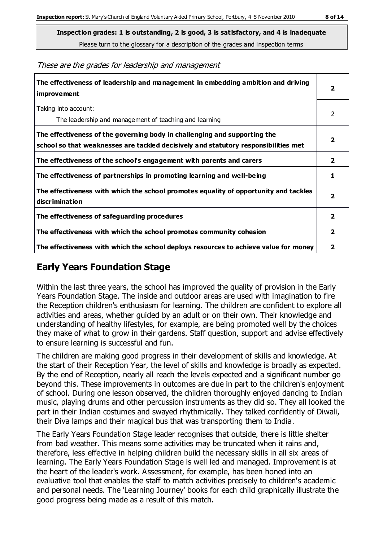These are the grades for leadership and management

| The effectiveness of leadership and management in embedding ambition and driving<br>improvement                                                                  | $\overline{2}$          |
|------------------------------------------------------------------------------------------------------------------------------------------------------------------|-------------------------|
| Taking into account:<br>The leadership and management of teaching and learning                                                                                   | 2                       |
| The effectiveness of the governing body in challenging and supporting the<br>school so that weaknesses are tackled decisively and statutory responsibilities met | $\overline{\mathbf{2}}$ |
| The effectiveness of the school's engagement with parents and carers                                                                                             | $\mathbf{2}$            |
| The effectiveness of partnerships in promoting learning and well-being                                                                                           | 1                       |
| The effectiveness with which the school promotes equality of opportunity and tackles<br>discrimination                                                           | $\overline{\mathbf{2}}$ |
| The effectiveness of safeguarding procedures                                                                                                                     | $\overline{2}$          |
| The effectiveness with which the school promotes community cohesion                                                                                              | $\overline{2}$          |
| The effectiveness with which the school deploys resources to achieve value for money                                                                             | 2                       |

### **Early Years Foundation Stage**

Within the last three years, the school has improved the quality of provision in the Early Years Foundation Stage. The inside and outdoor areas are used with imagination to fire the Reception children's enthusiasm for learning. The children are confident to explore all activities and areas, whether guided by an adult or on their own. Their knowledge and understanding of healthy lifestyles, for example, are being promoted well by the choices they make of what to grow in their gardens. Staff question, support and advise effectively to ensure learning is successful and fun.

The children are making good progress in their development of skills and knowledge. At the start of their Reception Year, the level of skills and knowledge is broadly as expected. By the end of Reception, nearly all reach the levels expected and a significant number go beyond this. These improvements in outcomes are due in part to the children's enjoyment of school. During one lesson observed, the children thoroughly enjoyed dancing to Indian music, playing drums and other percussion instruments as they did so. They all looked the part in their Indian costumes and swayed rhythmically. They talked confidently of Diwali, their Diva lamps and their magical bus that was transporting them to India.

The Early Years Foundation Stage leader recognises that outside, there is little shelter from bad weather. This means some activities may be truncated when it rains and, therefore, less effective in helping children build the necessary skills in all six areas of learning. The Early Years Foundation Stage is well led and managed. Improvement is at the heart of the leader's work. Assessment, for example, has been honed into an evaluative tool that enables the staff to match activities precisely to children's academic and personal needs. The 'Learning Journey' books for each child graphically illustrate the good progress being made as a result of this match.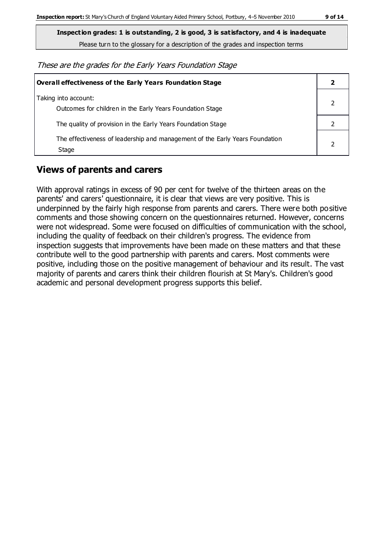**Inspection grades: 1 is outstanding, 2 is good, 3 is satisfactory, and 4 is inadequate**

Please turn to the glossary for a description of the grades and inspection terms

These are the grades for the Early Years Foundation Stage

| Overall effectiveness of the Early Years Foundation Stage                             |  |  |
|---------------------------------------------------------------------------------------|--|--|
| Taking into account:<br>Outcomes for children in the Early Years Foundation Stage     |  |  |
| The quality of provision in the Early Years Foundation Stage                          |  |  |
| The effectiveness of leadership and management of the Early Years Foundation<br>Stage |  |  |

## **Views of parents and carers**

With approval ratings in excess of 90 per cent for twelve of the thirteen areas on the parents' and carers' questionnaire, it is clear that views are very positive. This is underpinned by the fairly high response from parents and carers. There were both positive comments and those showing concern on the questionnaires returned. However, concerns were not widespread. Some were focused on difficulties of communication with the school, including the quality of feedback on their children's progress. The evidence from inspection suggests that improvements have been made on these matters and that these contribute well to the good partnership with parents and carers. Most comments were positive, including those on the positive management of behaviour and its result. The vast majority of parents and carers think their children flourish at St Mary's. Children's good academic and personal development progress supports this belief.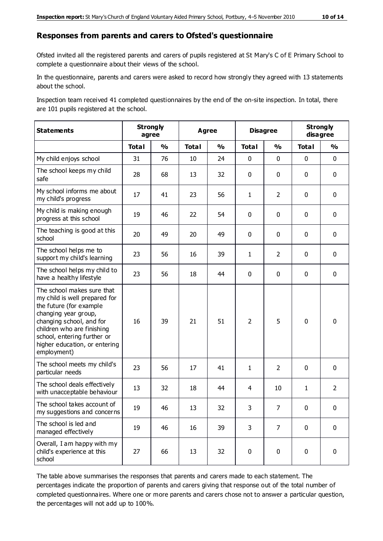#### **Responses from parents and carers to Ofsted's questionnaire**

Ofsted invited all the registered parents and carers of pupils registered at St Mary's C of E Primary School to complete a questionnaire about their views of the school.

In the questionnaire, parents and carers were asked to record how strongly they agreed with 13 statements about the school.

Inspection team received 41 completed questionnaires by the end of the on-site inspection. In total, there are 101 pupils registered at the school.

| <b>Statements</b>                                                                                                                                                                                                                                       | <b>Strongly</b><br>agree |               | <b>Agree</b> |               | <b>Disagree</b> |                | <b>Strongly</b><br>disagree |                |
|---------------------------------------------------------------------------------------------------------------------------------------------------------------------------------------------------------------------------------------------------------|--------------------------|---------------|--------------|---------------|-----------------|----------------|-----------------------------|----------------|
|                                                                                                                                                                                                                                                         | <b>Total</b>             | $\frac{1}{2}$ | <b>Total</b> | $\frac{1}{2}$ | <b>Total</b>    | $\frac{1}{2}$  | <b>Total</b>                | $\frac{1}{2}$  |
| My child enjoys school                                                                                                                                                                                                                                  | 31                       | 76            | 10           | 24            | 0               | $\mathbf 0$    | $\mathbf 0$                 | $\mathbf 0$    |
| The school keeps my child<br>safe                                                                                                                                                                                                                       | 28                       | 68            | 13           | 32            | 0               | $\mathbf 0$    | $\mathbf 0$                 | $\mathbf 0$    |
| My school informs me about<br>my child's progress                                                                                                                                                                                                       | 17                       | 41            | 23           | 56            | $\mathbf{1}$    | $\overline{2}$ | $\mathbf 0$                 | $\mathbf 0$    |
| My child is making enough<br>progress at this school                                                                                                                                                                                                    | 19                       | 46            | 22           | 54            | 0               | $\mathbf 0$    | $\mathbf 0$                 | $\mathbf 0$    |
| The teaching is good at this<br>school                                                                                                                                                                                                                  | 20                       | 49            | 20           | 49            | 0               | $\mathbf 0$    | $\mathbf 0$                 | $\mathbf 0$    |
| The school helps me to<br>support my child's learning                                                                                                                                                                                                   | 23                       | 56            | 16           | 39            | $\mathbf{1}$    | $\overline{2}$ | $\mathbf 0$                 | $\mathbf 0$    |
| The school helps my child to<br>have a healthy lifestyle                                                                                                                                                                                                | 23                       | 56            | 18           | 44            | 0               | $\mathbf 0$    | $\mathbf 0$                 | $\mathbf 0$    |
| The school makes sure that<br>my child is well prepared for<br>the future (for example<br>changing year group,<br>changing school, and for<br>children who are finishing<br>school, entering further or<br>higher education, or entering<br>employment) | 16                       | 39            | 21           | 51            | $\overline{2}$  | 5              | $\mathbf 0$                 | $\mathbf 0$    |
| The school meets my child's<br>particular needs                                                                                                                                                                                                         | 23                       | 56            | 17           | 41            | $\mathbf{1}$    | $\overline{2}$ | $\mathbf 0$                 | $\mathbf 0$    |
| The school deals effectively<br>with unacceptable behaviour                                                                                                                                                                                             | 13                       | 32            | 18           | 44            | 4               | 10             | $\mathbf{1}$                | $\overline{2}$ |
| The school takes account of<br>my suggestions and concerns                                                                                                                                                                                              | 19                       | 46            | 13           | 32            | 3               | $\overline{7}$ | $\Omega$                    | 0              |
| The school is led and<br>managed effectively                                                                                                                                                                                                            | 19                       | 46            | 16           | 39            | 3               | $\overline{7}$ | $\mathbf 0$                 | $\mathbf 0$    |
| Overall, I am happy with my<br>child's experience at this<br>school                                                                                                                                                                                     | 27                       | 66            | 13           | 32            | $\pmb{0}$       | $\mathbf 0$    | $\mathbf 0$                 | $\pmb{0}$      |

The table above summarises the responses that parents and carers made to each statement. The percentages indicate the proportion of parents and carers giving that response out of the total number of completed questionnaires. Where one or more parents and carers chose not to answer a particular question, the percentages will not add up to 100%.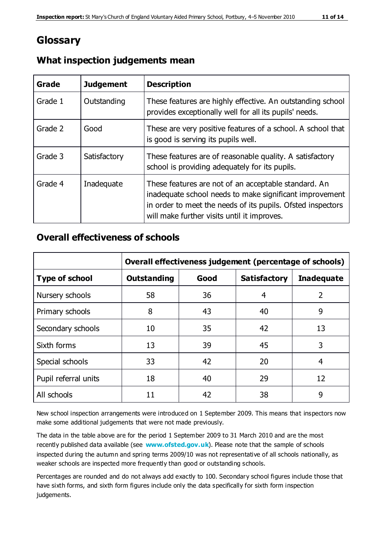## **Glossary**

| Grade   | <b>Judgement</b> | <b>Description</b>                                                                                                                                                                                                            |
|---------|------------------|-------------------------------------------------------------------------------------------------------------------------------------------------------------------------------------------------------------------------------|
| Grade 1 | Outstanding      | These features are highly effective. An outstanding school<br>provides exceptionally well for all its pupils' needs.                                                                                                          |
| Grade 2 | Good             | These are very positive features of a school. A school that<br>is good is serving its pupils well.                                                                                                                            |
| Grade 3 | Satisfactory     | These features are of reasonable quality. A satisfactory<br>school is providing adequately for its pupils.                                                                                                                    |
| Grade 4 | Inadequate       | These features are not of an acceptable standard. An<br>inadequate school needs to make significant improvement<br>in order to meet the needs of its pupils. Ofsted inspectors<br>will make further visits until it improves. |

#### **What inspection judgements mean**

#### **Overall effectiveness of schools**

|                       | Overall effectiveness judgement (percentage of schools) |      |                     |                   |
|-----------------------|---------------------------------------------------------|------|---------------------|-------------------|
| <b>Type of school</b> | <b>Outstanding</b>                                      | Good | <b>Satisfactory</b> | <b>Inadequate</b> |
| Nursery schools       | 58                                                      | 36   | 4                   | 2                 |
| Primary schools       | 8                                                       | 43   | 40                  | 9                 |
| Secondary schools     | 10                                                      | 35   | 42                  | 13                |
| Sixth forms           | 13                                                      | 39   | 45                  | 3                 |
| Special schools       | 33                                                      | 42   | 20                  | 4                 |
| Pupil referral units  | 18                                                      | 40   | 29                  | 12                |
| All schools           | 11                                                      | 42   | 38                  | 9                 |

New school inspection arrangements were introduced on 1 September 2009. This means that inspectors now make some additional judgements that were not made previously.

The data in the table above are for the period 1 September 2009 to 31 March 2010 and are the most recently published data available (see **[www.ofsted.gov.uk](http://www.ofsted.gov.uk/)**). Please note that the sample of schools inspected during the autumn and spring terms 2009/10 was not representative of all schools nationally, as weaker schools are inspected more frequently than good or outstanding schools.

Percentages are rounded and do not always add exactly to 100. Secondary school figures include those that have sixth forms, and sixth form figures include only the data specifically for sixth form inspection judgements.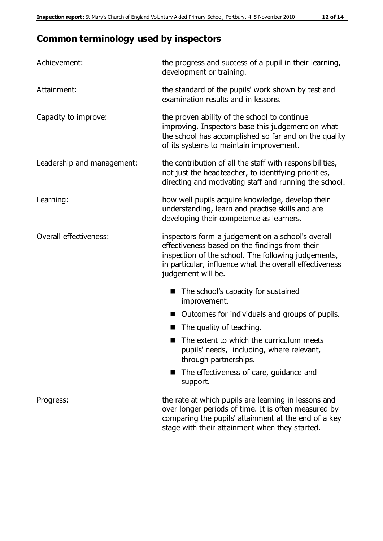## **Common terminology used by inspectors**

| Achievement:               | the progress and success of a pupil in their learning,<br>development or training.                                                                                                                                                          |
|----------------------------|---------------------------------------------------------------------------------------------------------------------------------------------------------------------------------------------------------------------------------------------|
| Attainment:                | the standard of the pupils' work shown by test and<br>examination results and in lessons.                                                                                                                                                   |
| Capacity to improve:       | the proven ability of the school to continue<br>improving. Inspectors base this judgement on what<br>the school has accomplished so far and on the quality<br>of its systems to maintain improvement.                                       |
| Leadership and management: | the contribution of all the staff with responsibilities,<br>not just the headteacher, to identifying priorities,<br>directing and motivating staff and running the school.                                                                  |
| Learning:                  | how well pupils acquire knowledge, develop their<br>understanding, learn and practise skills and are<br>developing their competence as learners.                                                                                            |
| Overall effectiveness:     | inspectors form a judgement on a school's overall<br>effectiveness based on the findings from their<br>inspection of the school. The following judgements,<br>in particular, influence what the overall effectiveness<br>judgement will be. |
|                            | The school's capacity for sustained<br>improvement.                                                                                                                                                                                         |
|                            | Outcomes for individuals and groups of pupils.                                                                                                                                                                                              |
|                            | The quality of teaching.                                                                                                                                                                                                                    |
|                            | The extent to which the curriculum meets<br>pupils' needs, including, where relevant,<br>through partnerships.                                                                                                                              |
|                            | The effectiveness of care, guidance and<br>support.                                                                                                                                                                                         |
| Progress:                  | the rate at which pupils are learning in lessons and<br>over longer periods of time. It is often measured by<br>comparing the pupils' attainment at the end of a key                                                                        |

stage with their attainment when they started.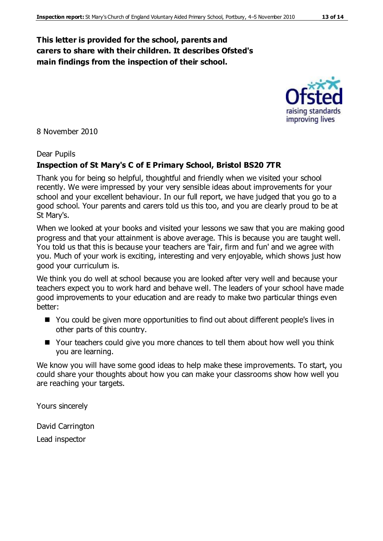#### **This letter is provided for the school, parents and carers to share with their children. It describes Ofsted's main findings from the inspection of their school.**

8 November 2010

#### Dear Pupils

#### **Inspection of St Mary's C of E Primary School, Bristol BS20 7TR**

Thank you for being so helpful, thoughtful and friendly when we visited your school recently. We were impressed by your very sensible ideas about improvements for your school and your excellent behaviour. In our full report, we have judged that you go to a good school. Your parents and carers told us this too, and you are clearly proud to be at St Mary's.

When we looked at your books and visited your lessons we saw that you are making good progress and that your attainment is above average. This is because you are taught well. You told us that this is because your teachers are 'fair, firm and fun' and we agree with you. Much of your work is exciting, interesting and very enjoyable, which shows just how good your curriculum is.

We think you do well at school because you are looked after very well and because your teachers expect you to work hard and behave well. The leaders of your school have made good improvements to your education and are ready to make two particular things even better:

- You could be given more opportunities to find out about different people's lives in other parts of this country.
- Your teachers could give you more chances to tell them about how well you think you are learning.

We know you will have some good ideas to help make these improvements. To start, you could share your thoughts about how you can make your classrooms show how well you are reaching your targets.

Yours sincerely

David Carrington Lead inspector